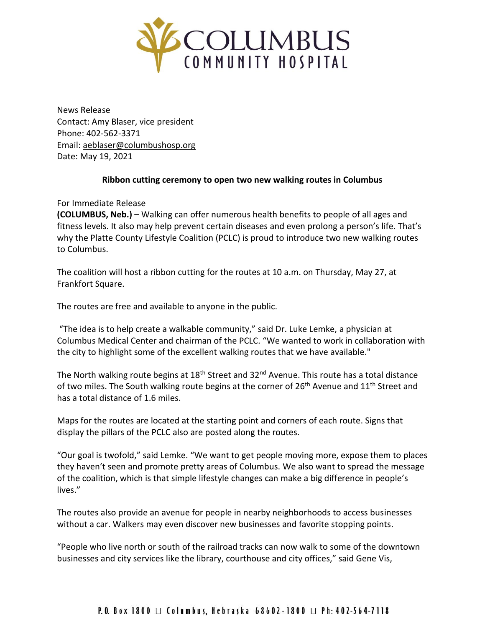

News Release Contact: Amy Blaser, vice president Phone: 402-562-3371 Email: [aeblaser@columbushosp.org](mailto:aeblaser@columbushosp.org) Date: May 19, 2021

## **Ribbon cutting ceremony to open two new walking routes in Columbus**

For Immediate Release

**(COLUMBUS, Neb.) –** Walking can offer numerous health benefits to people of all ages and fitness levels. It also may help prevent certain diseases and even prolong a person's life. That's why the Platte County Lifestyle Coalition (PCLC) is proud to introduce two new walking routes to Columbus.

The coalition will host a ribbon cutting for the routes at 10 a.m. on Thursday, May 27, at Frankfort Square.

The routes are free and available to anyone in the public.

"The idea is to help create a walkable community," said Dr. Luke Lemke, a physician at Columbus Medical Center and chairman of the PCLC. "We wanted to work in collaboration with the city to highlight some of the excellent walking routes that we have available."

The North walking route begins at 18<sup>th</sup> Street and 32<sup>nd</sup> Avenue. This route has a total distance of two miles. The South walking route begins at the corner of 26<sup>th</sup> Avenue and 11<sup>th</sup> Street and has a total distance of 1.6 miles.

Maps for the routes are located at the starting point and corners of each route. Signs that display the pillars of the PCLC also are posted along the routes.

"Our goal is twofold," said Lemke. "We want to get people moving more, expose them to places they haven't seen and promote pretty areas of Columbus. We also want to spread the message of the coalition, which is that simple lifestyle changes can make a big difference in people's lives."

The routes also provide an avenue for people in nearby neighborhoods to access businesses without a car. Walkers may even discover new businesses and favorite stopping points.

"People who live north or south of the railroad tracks can now walk to some of the downtown businesses and city services like the library, courthouse and city offices," said Gene Vis,